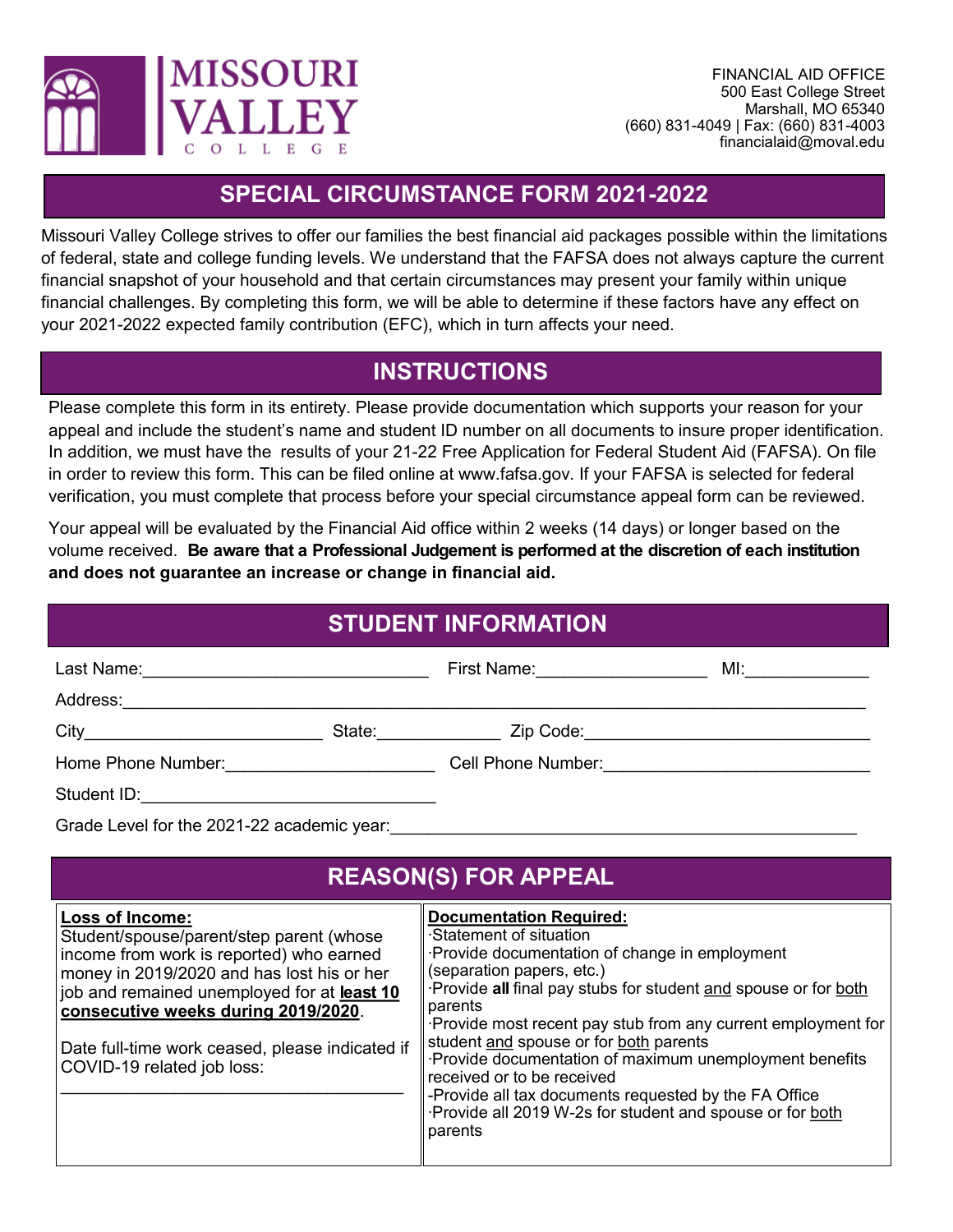

## **SPECIAL CIRCUMSTANCE FORM 2021-2022**

Missouri Valley College strives to offer our families the best financial aid packages possible within the limitations of federal, state and college funding levels. We understand that the FAFSA does not always capture the current financial snapshot of your household and that certain circumstances may present your family within unique financial challenges. By completing this form, we will be able to determine if these factors have any effect on your 2021-2022 expected family contribution (EFC), which in turn affects your need.

## **INSTRUCTIONS**

Please complete this form in its entirety. Please provide documentation which supports your reason for your appeal and include the student's name and student ID number on all documents to insure proper identification. In addition, we must have the results of your 21-22 Free Application for Federal Student Aid (FAFSA). On file in order to review this form. This can be filed online at www.fafsa.gov. If your FAFSA is selected for federal verification, you must complete that process before your special circumstance appeal form can be reviewed.

Your appeal will be evaluated by the Financial Aid office within 2 weeks (14 days) or longer based on the volume received. **Be aware that a Professional Judgement is performed at the discretion of each institution and does not guarantee an increase or change in financial aid.** 

| <b>STUDENT INFORMATION</b>                    |  |                                                          |  |  |
|-----------------------------------------------|--|----------------------------------------------------------|--|--|
| Last Name:___________________________________ |  | First Name: <u>____________________</u>                  |  |  |
|                                               |  |                                                          |  |  |
|                                               |  |                                                          |  |  |
| Home Phone Number: <u>__________________</u>  |  | Cell Phone Number: <u>______________________________</u> |  |  |
|                                               |  |                                                          |  |  |
|                                               |  |                                                          |  |  |

Grade Level for the 2021-22 academic year:

| <b>REASON(S) FOR APPEAL</b>                                                                                                                                                                                                                                                                                                  |                                                                                                                                                                                                                                                                                                                                                                                                                                                                                                                                                        |  |  |
|------------------------------------------------------------------------------------------------------------------------------------------------------------------------------------------------------------------------------------------------------------------------------------------------------------------------------|--------------------------------------------------------------------------------------------------------------------------------------------------------------------------------------------------------------------------------------------------------------------------------------------------------------------------------------------------------------------------------------------------------------------------------------------------------------------------------------------------------------------------------------------------------|--|--|
| Loss of Income:<br>Student/spouse/parent/step parent (whose<br>income from work is reported) who earned<br>money in 2019/2020 and has lost his or her<br>job and remained unemployed for at least 10<br>consecutive weeks during 2019/2020.<br>Date full-time work ceased, please indicated if<br>COVID-19 related job loss: | <b>Documentation Required:</b><br>⋅Statement of situation<br>Provide documentation of change in employment<br>(separation papers, etc.)<br>Provide all final pay stubs for student and spouse or for both<br>parents<br>Provide most recent pay stub from any current employment for<br>student and spouse or for both parents<br>Provide documentation of maximum unemployment benefits<br>received or to be received<br>-Provide all tax documents requested by the FA Office<br>Provide all 2019 W-2s for student and spouse or for both<br>parents |  |  |